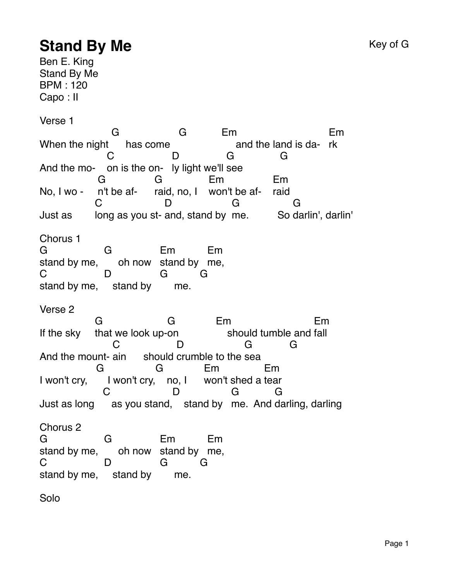## **Stand By Me** Key of G

Ben E. King Stand By Me BPM : 120 Capo : II

Verse 1

When the night G has come G Em and the land is da- rk Em And the mo- on is the on- ly light we'll see C D G G No, I wo - G n't be af-G raid, no, I Em won't be af-Em raid Just as  $\mathcal{C}$ long as you st-and, stand by me. So D<sub>1</sub> G G So darlin', darlin' Chorus 1 G stand by me, G oh now stand by me, Em Em C stand by me,  $\mathsf{D}$  stand by G me. G Verse 2 If the sky G that we look up-on G Em should tumble and fall Em And the mount-C ain should crumble to the sea D G G I won't cry, G I won't cry, no, I G Em won't shed a tear Em Just as long C as you stand, stand by me. And darling, darling D G G Chorus 2 G stand by me, G oh now stand by me, Em Em C stand by me, D. stand by G me. G Solo